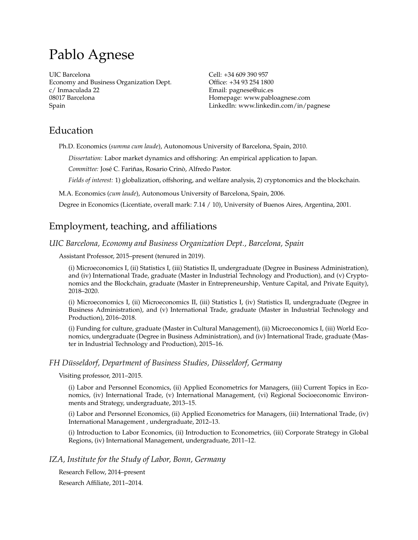# Pablo Agnese

UIC Barcelona Economy and Business Organization Dept. c/ Inmaculada 22 08017 Barcelona Spain

Cell: +34 609 390 957 Office: +34 93 254 1800 Email: pagnese@uic.es Homepage: www.pabloagnese.com LinkedIn: www.linkedin.com/in/pagnese

# Education

Ph.D. Economics (*summa cum laude*), Autonomous University of Barcelona, Spain, 2010.

*Dissertation:* Labor market dynamics and offshoring: An empirical application to Japan.

*Committee:* José C. Fariñas, Rosario Crinò, Alfredo Pastor.

*Fields of interest:* 1) globalization, offshoring, and welfare analysis, 2) cryptonomics and the blockchain.

M.A. Economics (*cum laude*), Autonomous University of Barcelona, Spain, 2006.

Degree in Economics (Licentiate, overall mark: 7.14 / 10), University of Buenos Aires, Argentina, 2001.

# Employment, teaching, and affiliations

# *UIC Barcelona, Economy and Business Organization Dept., Barcelona, Spain*

Assistant Professor, 2015–present (tenured in 2019).

(i) Microeconomics I, (ii) Statistics I, (iii) Statistics II, undergraduate (Degree in Business Administration), and (iv) International Trade, graduate (Master in Industrial Technology and Production), and (v) Cryptonomics and the Blockchain, graduate (Master in Entrepreneurship, Venture Capital, and Private Equity), 2018–2020.

(i) Microeconomics I, (ii) Microeconomics II, (iii) Statistics I, (iv) Statistics II, undergraduate (Degree in Business Administration), and (v) International Trade, graduate (Master in Industrial Technology and Production), 2016–2018.

(i) Funding for culture, graduate (Master in Cultural Management), (ii) Microeconomics I, (iii) World Economics, undergraduate (Degree in Business Administration), and (iv) International Trade, graduate (Master in Industrial Technology and Production), 2015–16.

# *FH Düsseldorf, Department of Business Studies, Düsseldorf, Germany*

Visiting professor, 2011–2015.

(i) Labor and Personnel Economics, (ii) Applied Econometrics for Managers, (iii) Current Topics in Economics, (iv) International Trade, (v) International Management, (vi) Regional Socioeconomic Environments and Strategy, undergraduate, 2013–15.

(i) Labor and Personnel Economics, (ii) Applied Econometrics for Managers, (iii) International Trade, (iv) International Management , undergraduate, 2012–13.

(i) Introduction to Labor Economics, (ii) Introduction to Econometrics, (iii) Corporate Strategy in Global Regions, (iv) International Management, undergraduate, 2011–12.

# *IZA, Institute for the Study of Labor, Bonn, Germany*

Research Fellow, 2014–present

Research Affiliate, 2011–2014.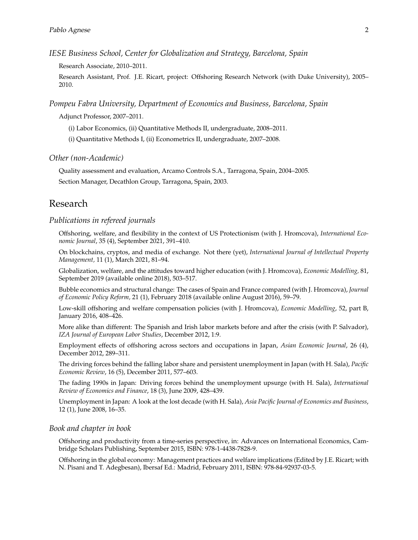*IESE Business School, Center for Globalization and Strategy, Barcelona, Spain*

Research Associate, 2010–2011.

Research Assistant, Prof. J.E. Ricart, project: Offshoring Research Network (with Duke University), 2005– 2010.

*Pompeu Fabra University, Department of Economics and Business, Barcelona, Spain*

Adjunct Professor, 2007–2011.

(i) Labor Economics, (ii) Quantitative Methods II, undergraduate, 2008–2011.

(i) Quantitative Methods I, (ii) Econometrics II, undergraduate, 2007–2008.

*Other (non-Academic)*

Quality assessment and evaluation, Arcamo Controls S.A., Tarragona, Spain, 2004–2005. Section Manager, Decathlon Group, Tarragona, Spain, 2003.

# Research

#### *Publications in refereed journals*

Offshoring, welfare, and flexibility in the context of US Protectionism (with J. Hromcova), *International Economic Journal*, 35 (4), September 2021, 391–410.

On blockchains, cryptos, and media of exchange. Not there (yet), *International Journal of Intellectual Property Management,* 11 (1), March 2021, 81–94.

Globalization, welfare, and the attitudes toward higher education (with J. Hromcova), *Economic Modelling,* 81, September 2019 (available online 2018), 503–517.

Bubble economics and structural change: The cases of Spain and France compared (with J. Hromcova), *Journal of Economic Policy Reform,* 21 (1), February 2018 (available online August 2016), 59–79.

Low-skill offshoring and welfare compensation policies (with J. Hromcova), *Economic Modelling*, 52, part B, January 2016, 408–426.

More alike than different: The Spanish and Irish labor markets before and after the crisis (with P. Salvador), *IZA Journal of European Labor Studies*, December 2012, 1:9.

Employment effects of offshoring across sectors and occupations in Japan, *Asian Economic Journal*, 26 (4), December 2012, 289–311.

The driving forces behind the falling labor share and persistent unemployment in Japan (with H. Sala), *Pacific Economic Review*, 16 (5), December 2011, 577–603.

The fading 1990s in Japan: Driving forces behind the unemployment upsurge (with H. Sala), *International Review of Economics and Finance*, 18 (3), June 2009, 428–439.

Unemployment in Japan: A look at the lost decade (with H. Sala), *Asia Pacific Journal of Economics and Business*, 12 (1), June 2008, 16–35.

#### *Book and chapter in book*

Offshoring and productivity from a time-series perspective, in: Advances on International Economics, Cambridge Scholars Publishing, September 2015, ISBN: 978-1-4438-7828-9.

Offshoring in the global economy: Management practices and welfare implications (Edited by J.E. Ricart; with N. Pisani and T. Adegbesan), Ibersaf Ed.: Madrid, February 2011, ISBN: 978-84-92937-03-5.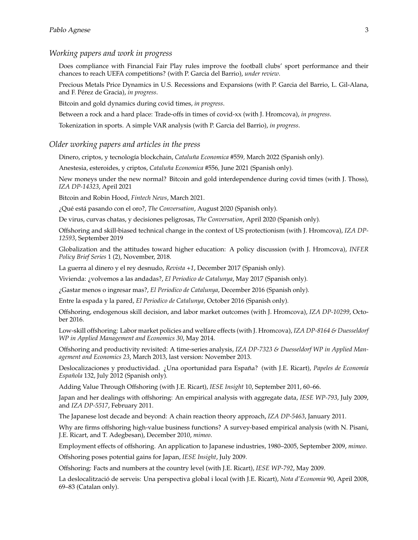#### *Working papers and work in progress*

Does compliance with Financial Fair Play rules improve the football clubs' sport performance and their chances to reach UEFA competitions? (with P. Garcia del Barrio), *under review*.

Precious Metals Price Dynamics in U.S. Recessions and Expansions (with P. Garcia del Barrio, L. Gil-Alana, and F. Pérez de Gracia), *in progress*.

Bitcoin and gold dynamics during covid times, *in progress*.

Between a rock and a hard place: Trade-offs in times of covid-xx (with J. Hromcova), *in progress*.

Tokenization in sports. A simple VAR analysis (with P. Garcia del Barrio), *in progress*.

#### *Older working papers and articles in the press*

Dinero, criptos, y tecnología blockchain, *Cataluña Economica* #559*,* March 2022 (Spanish only)*.*

Anestesia, esteroides, y criptos, *Cataluña Economica* #556*,* June 2021 (Spanish only)*.*

New moneys under the new normal? Bitcoin and gold interdependence during covid times (with J. Thoss), *IZA DP-14323*, April 2021

Bitcoin and Robin Hood, *Fintech News*, March 2021.

¿Qué está pasando con el oro?, *The Conversation*, August 2020 (Spanish only)*.*

De virus, curvas chatas, y decisiones peligrosas, *The Conversation*, April 2020 (Spanish only)*.*

Offshoring and skill-biased technical change in the context of US protectionism (with J. Hromcova), *IZA DP-12593*, September 2019

Globalization and the attitudes toward higher education: A policy discussion (with J. Hromcova), *INFER Policy Brief Series* 1 (2), November, 2018.

La guerra al dinero y el rey desnudo, *Revista +1*, December 2017 (Spanish only)*.*

Vivienda: ¿volvemos a las andadas?, *El Periodico de Catalunya*, May 2017 (Spanish only)*.*

¿Gastar menos o ingresar mas?, *El Periodico de Catalunya*, December 2016 (Spanish only)*.*

Entre la espada y la pared, *El Periodico de Catalunya*, October 2016 (Spanish only)*.*

Offshoring, endogenous skill decision, and labor market outcomes (with J. Hromcova), *IZA DP-10299*, October 2016.

Low-skill offshoring: Labor market policies and welfare effects (with J. Hromcova), *IZA DP-8164 & Duesseldorf WP in Applied Management and Economics 30*, May 2014.

Offshoring and productivity revisited: A time-series analysis, *IZA DP-7323 & Duesseldorf WP in Applied Management and Economics 23*, March 2013, last version: November 2013.

Deslocalizaciones y productividad. ¿Una oportunidad para España? (with J.E. Ricart), *Papeles de Economía Española* 132, July 2012 (Spanish only)*.*

Adding Value Through Offshoring (with J.E. Ricart), *IESE Insight* 10, September 2011, 60–66.

Japan and her dealings with offshoring: An empirical analysis with aggregate data, *IESE WP-793*, July 2009, and *IZA DP-5517*, February 2011.

The Japanese lost decade and beyond: A chain reaction theory approach, *IZA DP-5463*, January 2011.

Why are firms offshoring high-value business functions? A survey-based empirical analysis (with N. Pisani, J.E. Ricart, and T. Adegbesan), December 2010, *mimeo*.

Employment effects of offshoring. An application to Japanese industries, 1980–2005, September 2009, *mimeo*.

Offshoring poses potential gains for Japan, *IESE Insight*, July 2009.

Offshoring: Facts and numbers at the country level (with J.E. Ricart), *IESE WP-792*, May 2009.

La deslocalització de serveis: Una perspectiva global i local (with J.E. Ricart), *Nota d'Economia* 90, April 2008, 69–83 (Catalan only).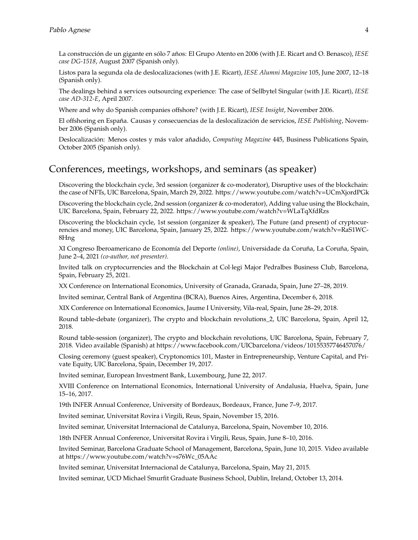La construcción de un gigante en sólo 7 años: El Grupo Atento en 2006 (with J.E. Ricart and O. Benasco), *IESE case DG-1518*, August 2007 (Spanish only).

Listos para la segunda ola de deslocalizaciones (with J.E. Ricart), *IESE Alumni Magazine* 105, June 2007, 12–18 (Spanish only).

The dealings behind a services outsourcing experience: The case of Sellbytel Singular (with J.E. Ricart), *IESE case AD-312-E*, April 2007.

Where and why do Spanish companies offshore? (with J.E. Ricart), *IESE Insight*, November 2006.

El offshoring en España. Causas y consecuencias de la deslocalización de servicios, *IESE Publishing*, November 2006 (Spanish only).

Deslocalización: Menos costes y más valor añadido, *Computing Magazine* 445, Business Publications Spain, October 2005 (Spanish only).

# Conferences, meetings, workshops, and seminars (as speaker)

Discovering the blockchain cycle, 3rd session (organizer & co-moderator), Disruptive uses of the blockchain: the case of NFTs, UIC Barcelona, Spain, March 29, 2022. https://www.youtube.com/watch?v=UCmXjordPGk

Discovering the blockchain cycle, 2nd session (organizer & co-moderator), Adding value using the Blockchain, UIC Barcelona, Spain, February 22, 2022. https://www.youtube.com/watch?v=WLaTqXfdRzs

Discovering the blockchain cycle, 1st session (organizer & speaker), The Future (and present) of cryptocurrencies and money, UIC Barcelona, Spain, January 25, 2022. https://www.youtube.com/watch?v=RaS1WC-8Hng

XI Congreso Iberoamericano de Economía del Deporte *(online)*, Universidade da Coruña, La Coruña, Spain, June 2–4, 2021 *(co-author, not presenter)*.

Invited talk on cryptocurrencies and the Blockchain at Collegi Major Pedralbes Business Club, Barcelona, Spain, February 25, 2021.

XX Conference on International Economics, University of Granada, Granada, Spain, June 27–28, 2019.

Invited seminar, Central Bank of Argentina (BCRA), Buenos Aires, Argentina, December 6, 2018.

XIX Conference on International Economics, Jaume I University, Vila-real, Spain, June 28–29, 2018.

Round table-debate (organizer), The crypto and blockchain revolutions\_2, UIC Barcelona, Spain, April 12, 2018.

Round table-session (organizer), The crypto and blockchain revolutions, UIC Barcelona, Spain, February 7, 2018. Video available (Spanish) at https://www.facebook.com/UICbarcelona/videos/10155357746457076/

Closing ceremony (guest speaker), Cryptonomics 101, Master in Entrepreneurship, Venture Capital, and Private Equity, UIC Barcelona, Spain, December 19, 2017.

Invited seminar, European Investment Bank, Luxembourg, June 22, 2017.

XVIII Conference on International Economics, International University of Andalusia, Huelva, Spain, June 15–16, 2017.

19th INFER Annual Conference, University of Bordeaux, Bordeaux, France, June 7–9, 2017.

Invited seminar, Universitat Rovira i Virgili, Reus, Spain, November 15, 2016.

Invited seminar, Universitat Internacional de Catalunya, Barcelona, Spain, November 10, 2016.

18th INFER Annual Conference, Universitat Rovira i Virgili, Reus, Spain, June 8–10, 2016.

Invited Seminar, Barcelona Graduate School of Management, Barcelona, Spain, June 10, 2015. Video available at https://www.youtube.com/watch?v=s76Wc\_05AAc

Invited seminar, Universitat Internacional de Catalunya, Barcelona, Spain, May 21, 2015.

Invited seminar, UCD Michael Smurfit Graduate Business School, Dublin, Ireland, October 13, 2014.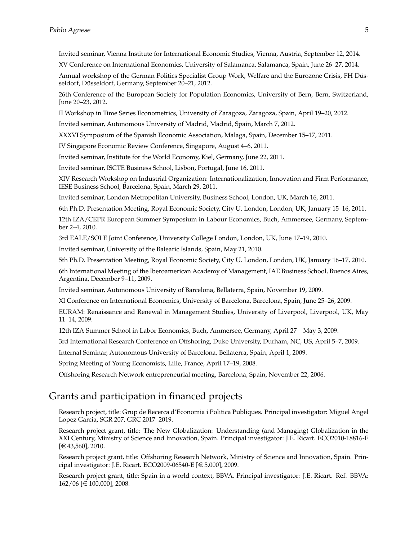Invited seminar, Vienna Institute for International Economic Studies, Vienna, Austria, September 12, 2014.

XV Conference on International Economics, University of Salamanca, Salamanca, Spain, June 26–27, 2014.

Annual workshop of the German Politics Specialist Group Work, Welfare and the Eurozone Crisis, FH Düsseldorf, Düsseldorf, Germany, September 20–21, 2012.

26th Conference of the European Society for Population Economics, University of Bern, Bern, Switzerland, June 20–23, 2012.

II Workshop in Time Series Econometrics, University of Zaragoza, Zaragoza, Spain, April 19–20, 2012.

Invited seminar, Autonomous University of Madrid, Madrid, Spain, March 7, 2012.

XXXVI Symposium of the Spanish Economic Association, Malaga, Spain, December 15–17, 2011.

IV Singapore Economic Review Conference, Singapore, August 4–6, 2011.

Invited seminar, Institute for the World Economy, Kiel, Germany, June 22, 2011.

Invited seminar, ISCTE Business School, Lisbon, Portugal, June 16, 2011.

XIV Research Workshop on Industrial Organization: Internationalization, Innovation and Firm Performance, IESE Business School, Barcelona, Spain, March 29, 2011.

Invited seminar, London Metropolitan University, Business School, London, UK, March 16, 2011.

6th Ph.D. Presentation Meeting, Royal Economic Society, City U. London, London, UK, January 15–16, 2011.

12th IZA/CEPR European Summer Symposium in Labour Economics, Buch, Ammersee, Germany, September 2–4, 2010.

3rd EALE/SOLE Joint Conference, University College London, London, UK, June 17–19, 2010.

Invited seminar, University of the Balearic Islands, Spain, May 21, 2010.

5th Ph.D. Presentation Meeting, Royal Economic Society, City U. London, London, UK, January 16–17, 2010.

6th International Meeting of the Iberoamerican Academy of Management, IAE Business School, Buenos Aires, Argentina, December 9–11, 2009.

Invited seminar, Autonomous University of Barcelona, Bellaterra, Spain, November 19, 2009.

XI Conference on International Economics, University of Barcelona, Barcelona, Spain, June 25–26, 2009.

EURAM: Renaissance and Renewal in Management Studies, University of Liverpool, Liverpool, UK, May 11–14, 2009.

12th IZA Summer School in Labor Economics, Buch, Ammersee, Germany, April 27 – May 3, 2009.

3rd International Research Conference on Offshoring, Duke University, Durham, NC, US, April 5–7, 2009.

Internal Seminar, Autonomous University of Barcelona, Bellaterra, Spain, April 1, 2009.

Spring Meeting of Young Economists, Lille, France, April 17–19, 2008.

Offshoring Research Network entrepreneurial meeting, Barcelona, Spain, November 22, 2006.

# Grants and participation in financed projects

Research project, title: Grup de Recerca d'Economia i Politica Publiques. Principal investigator: Miguel Angel Lopez Garcia, SGR 207, GRC 2017–2019.

Research project grant, title: The New Globalization: Understanding (and Managing) Globalization in the XXI Century, Ministry of Science and Innovation, Spain. Principal investigator: J.E. Ricart. ECO2010-18816-E [e 43,560], 2010.

Research project grant, title: Offshoring Research Network, Ministry of Science and Innovation, Spain. Principal investigator: J.E. Ricart. ECO2009-06540-E  $[\in 5,000]$ , 2009.

Research project grant, title: Spain in a world context, BBVA. Principal investigator: J.E. Ricart. Ref. BBVA:  $162/06$  [ $\in$  100,000], 2008.